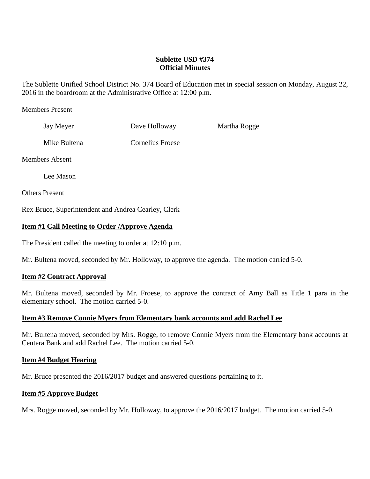# **Sublette USD #374 Official Minutes**

The Sublette Unified School District No. 374 Board of Education met in special session on Monday, August 22, 2016 in the boardroom at the Administrative Office at 12:00 p.m.

### Members Present

| Jay Meyer             | Dave Holloway    | Martha Rogge |
|-----------------------|------------------|--------------|
| Mike Bultena          | Cornelius Froese |              |
| Members Absent        |                  |              |
| Lee Mason             |                  |              |
| <b>Others Present</b> |                  |              |

Rex Bruce, Superintendent and Andrea Cearley, Clerk

### **Item #1 Call Meeting to Order /Approve Agenda**

The President called the meeting to order at 12:10 p.m.

Mr. Bultena moved, seconded by Mr. Holloway, to approve the agenda. The motion carried 5-0.

#### **Item #2 Contract Approval**

Mr. Bultena moved, seconded by Mr. Froese, to approve the contract of Amy Ball as Title 1 para in the elementary school. The motion carried 5-0.

#### **Item #3 Remove Connie Myers from Elementary bank accounts and add Rachel Lee**

Mr. Bultena moved, seconded by Mrs. Rogge, to remove Connie Myers from the Elementary bank accounts at Centera Bank and add Rachel Lee. The motion carried 5-0.

#### **Item #4 Budget Hearing**

Mr. Bruce presented the 2016/2017 budget and answered questions pertaining to it.

#### **Item #5 Approve Budget**

Mrs. Rogge moved, seconded by Mr. Holloway, to approve the 2016/2017 budget. The motion carried 5-0.